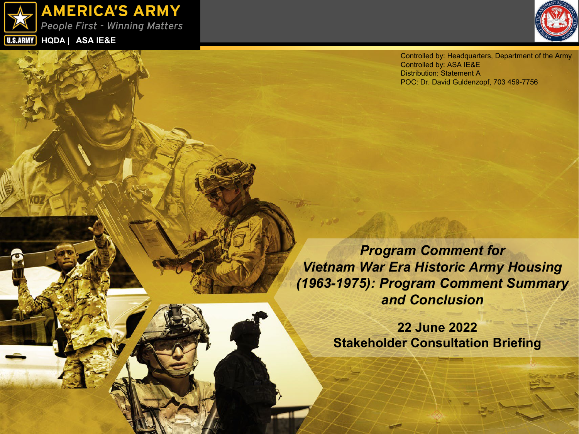



Controlled by: Headquarters, Department of the Army Controlled by: ASA IE&E Distribution: Statement A POC: Dr. David Guldenzopf, 703 459-7756

*Program Comment for Vietnam War Era Historic Army Housing (1963-1975): Program Comment Summary and Conclusion* 

> **22 June 2022 Stakeholder Consultation Briefing**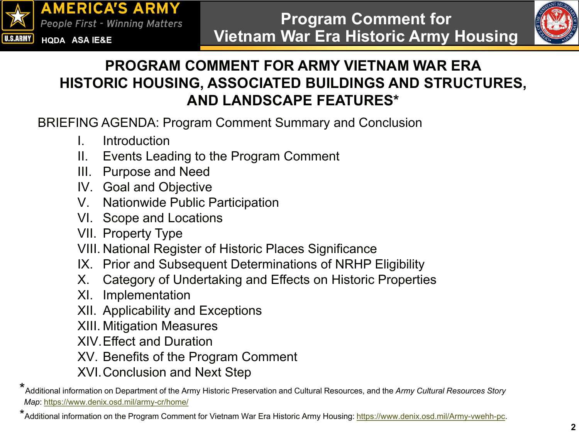



### **PROGRAM COMMENT FOR ARMY VIETNAM WAR ERA HISTORIC HOUSING, ASSOCIATED BUILDINGS AND STRUCTURES, AND LANDSCAPE FEATURES\***

BRIEFING AGENDA: Program Comment Summary and Conclusion

- I. Introduction
- II. Events Leading to the Program Comment
- III. Purpose and Need
- IV. Goal and Objective
- V. Nationwide Public Participation
- VI. Scope and Locations
- VII. Property Type
- VIII. National Register of Historic Places Significance
- IX. Prior and Subsequent Determinations of NRHP Eligibility
- X. Category of Undertaking and Effects on Historic Properties
- XI. Implementation
- XII. Applicability and Exceptions
- XIII. Mitigation Measures
- XIV.Effect and Duration
- XV. Benefits of the Program Comment
- XVI.Conclusion and Next Step

<sup>\*</sup> Additional information on Department of the Army Historic Preservation and Cultural Resources, and the *Army Cultural Resources Story Map*: <https://www.denix.osd.mil/army-cr/home/>

<sup>\*</sup>Additional information on the Program Comment for Vietnam War Era Historic Army Housing:<https://www.denix.osd.mil/Army-vwehh-pc>.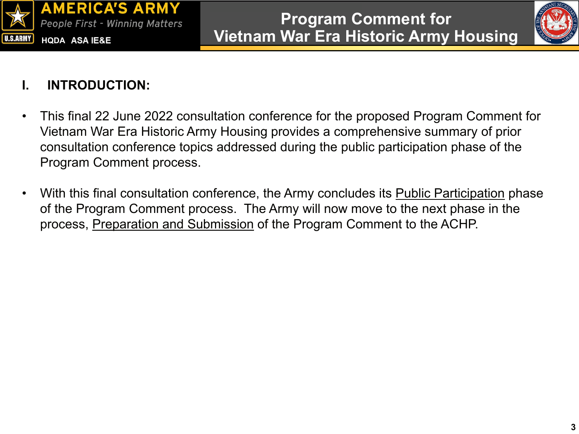



#### **I. INTRODUCTION:**

- This final 22 June 2022 consultation conference for the proposed Program Comment for Vietnam War Era Historic Army Housing provides a comprehensive summary of prior consultation conference topics addressed during the public participation phase of the Program Comment process.
- With this final consultation conference, the Army concludes its Public Participation phase of the Program Comment process. The Army will now move to the next phase in the process, Preparation and Submission of the Program Comment to the ACHP.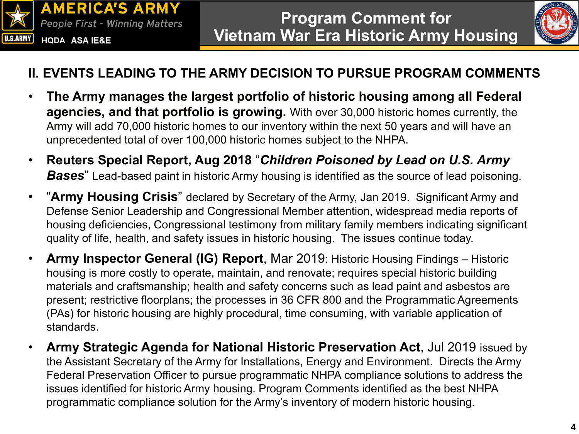



#### **II. EVENTS LEADING TO THE ARMY DECISION TO PURSUE PROGRAM COMMENTS**

- **The Army manages the largest portfolio of historic housing among all Federal agencies, and that portfolio is growing.** With over 30,000 historic homes currently, the Army will add 70,000 historic homes to our inventory within the next 50 years and will have an unprecedented total of over 100,000 historic homes subject to the NHPA.
- **Reuters Special Report, Aug 2018** "*Children Poisoned by Lead on U.S. Army*  **Bases**" Lead-based paint in historic Army housing is identified as the source of lead poisoning.
- "**Army Housing Crisis**" declared by Secretary of the Army, Jan 2019. Significant Army and Defense Senior Leadership and Congressional Member attention, widespread media reports of housing deficiencies, Congressional testimony from military family members indicating significant quality of life, health, and safety issues in historic housing. The issues continue today.
- **Army Inspector General (IG) Report**, Mar 2019: Historic Housing Findings Historic housing is more costly to operate, maintain, and renovate; requires special historic building materials and craftsmanship; health and safety concerns such as lead paint and asbestos are present; restrictive floorplans; the processes in 36 CFR 800 and the Programmatic Agreements (PAs) for historic housing are highly procedural, time consuming, with variable application of standards.
- **Army Strategic Agenda for National Historic Preservation Act**, Jul 2019 issued by the Assistant Secretary of the Army for Installations, Energy and Environment. Directs the Army Federal Preservation Officer to pursue programmatic NHPA compliance solutions to address the issues identified for historic Army housing. Program Comments identified as the best NHPA programmatic compliance solution for the Army's inventory of modern historic housing.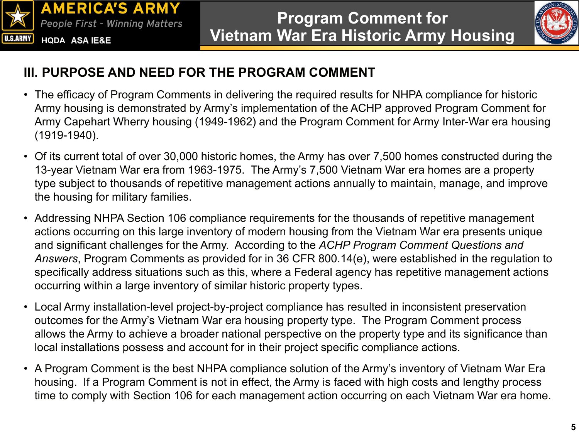



#### **III. PURPOSE AND NEED FOR THE PROGRAM COMMENT**

- The efficacy of Program Comments in delivering the required results for NHPA compliance for historic Army housing is demonstrated by Army's implementation of the ACHP approved Program Comment for Army Capehart Wherry housing (1949-1962) and the Program Comment for Army Inter-War era housing (1919-1940).
- Of its current total of over 30,000 historic homes, the Army has over 7,500 homes constructed during the 13-year Vietnam War era from 1963-1975. The Army's 7,500 Vietnam War era homes are a property type subject to thousands of repetitive management actions annually to maintain, manage, and improve the housing for military families.
- Addressing NHPA Section 106 compliance requirements for the thousands of repetitive management actions occurring on this large inventory of modern housing from the Vietnam War era presents unique and significant challenges for the Army. According to the *ACHP Program Comment Questions and Answers*, Program Comments as provided for in 36 CFR 800.14(e), were established in the regulation to specifically address situations such as this, where a Federal agency has repetitive management actions occurring within a large inventory of similar historic property types.
- Local Army installation-level project-by-project compliance has resulted in inconsistent preservation outcomes for the Army's Vietnam War era housing property type. The Program Comment process allows the Army to achieve a broader national perspective on the property type and its significance than local installations possess and account for in their project specific compliance actions.
- A Program Comment is the best NHPA compliance solution of the Army's inventory of Vietnam War Era housing. If a Program Comment is not in effect, the Army is faced with high costs and lengthy process time to comply with Section 106 for each management action occurring on each Vietnam War era home.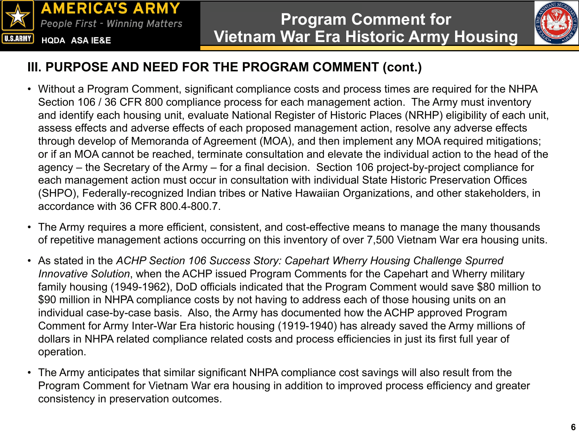



### **III. PURPOSE AND NEED FOR THE PROGRAM COMMENT (cont.)**

- Without a Program Comment, significant compliance costs and process times are required for the NHPA Section 106 / 36 CFR 800 compliance process for each management action. The Army must inventory and identify each housing unit, evaluate National Register of Historic Places (NRHP) eligibility of each unit, assess effects and adverse effects of each proposed management action, resolve any adverse effects through develop of Memoranda of Agreement (MOA), and then implement any MOA required mitigations; or if an MOA cannot be reached, terminate consultation and elevate the individual action to the head of the agency – the Secretary of the Army – for a final decision. Section 106 project-by-project compliance for each management action must occur in consultation with individual State Historic Preservation Offices (SHPO), Federally-recognized Indian tribes or Native Hawaiian Organizations, and other stakeholders, in accordance with 36 CFR 800.4-800.7.
- The Army requires a more efficient, consistent, and cost-effective means to manage the many thousands of repetitive management actions occurring on this inventory of over 7,500 Vietnam War era housing units.
- As stated in the *ACHP Section 106 Success Story: Capehart Wherry Housing Challenge Spurred Innovative Solution*, when the ACHP issued Program Comments for the Capehart and Wherry military family housing (1949-1962), DoD officials indicated that the Program Comment would save \$80 million to \$90 million in NHPA compliance costs by not having to address each of those housing units on an individual case-by-case basis. Also, the Army has documented how the ACHP approved Program Comment for Army Inter-War Era historic housing (1919-1940) has already saved the Army millions of dollars in NHPA related compliance related costs and process efficiencies in just its first full year of operation.
- The Army anticipates that similar significant NHPA compliance cost savings will also result from the Program Comment for Vietnam War era housing in addition to improved process efficiency and greater consistency in preservation outcomes.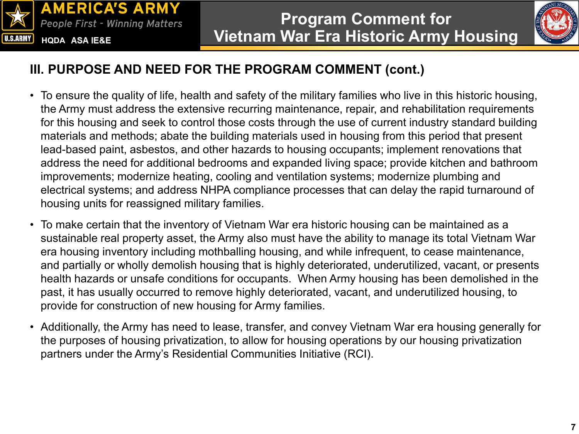



#### **III. PURPOSE AND NEED FOR THE PROGRAM COMMENT (cont.)**

- To ensure the quality of life, health and safety of the military families who live in this historic housing, the Army must address the extensive recurring maintenance, repair, and rehabilitation requirements for this housing and seek to control those costs through the use of current industry standard building materials and methods; abate the building materials used in housing from this period that present lead-based paint, asbestos, and other hazards to housing occupants; implement renovations that address the need for additional bedrooms and expanded living space; provide kitchen and bathroom improvements; modernize heating, cooling and ventilation systems; modernize plumbing and electrical systems; and address NHPA compliance processes that can delay the rapid turnaround of housing units for reassigned military families.
- To make certain that the inventory of Vietnam War era historic housing can be maintained as a sustainable real property asset, the Army also must have the ability to manage its total Vietnam War era housing inventory including mothballing housing, and while infrequent, to cease maintenance, and partially or wholly demolish housing that is highly deteriorated, underutilized, vacant, or presents health hazards or unsafe conditions for occupants. When Army housing has been demolished in the past, it has usually occurred to remove highly deteriorated, vacant, and underutilized housing, to provide for construction of new housing for Army families.
- Additionally, the Army has need to lease, transfer, and convey Vietnam War era housing generally for the purposes of housing privatization, to allow for housing operations by our housing privatization partners under the Army's Residential Communities Initiative (RCI).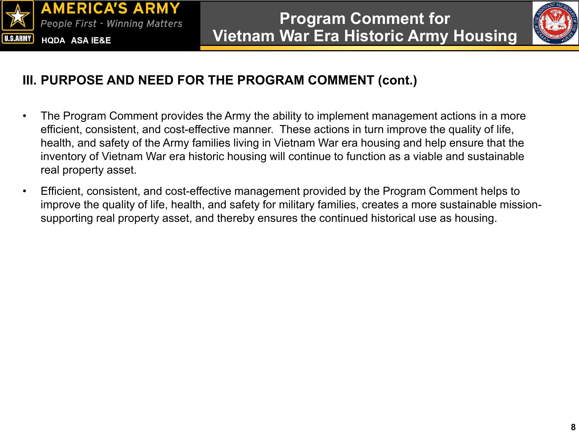



#### **III. PURPOSE AND NEED FOR THE PROGRAM COMMENT (cont.)**

- The Program Comment provides the Army the ability to implement management actions in a more efficient, consistent, and cost-effective manner. These actions in turn improve the quality of life, health, and safety of the Army families living in Vietnam War era housing and help ensure that the inventory of Vietnam War era historic housing will continue to function as a viable and sustainable real property asset.
- Efficient, consistent, and cost-effective management provided by the Program Comment helps to improve the quality of life, health, and safety for military families, creates a more sustainable missionsupporting real property asset, and thereby ensures the continued historical use as housing.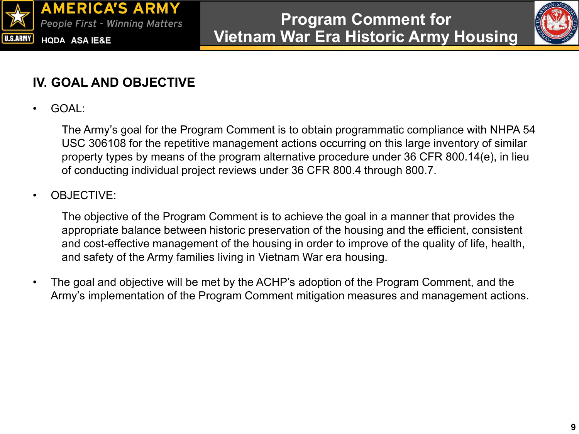



#### **IV. GOAL AND OBJECTIVE**

• GOAL:

The Army's goal for the Program Comment is to obtain programmatic compliance with NHPA 54 USC 306108 for the repetitive management actions occurring on this large inventory of similar property types by means of the program alternative procedure under 36 CFR 800.14(e), in lieu of conducting individual project reviews under 36 CFR 800.4 through 800.7.

#### • OBJECTIVE:

The objective of the Program Comment is to achieve the goal in a manner that provides the appropriate balance between historic preservation of the housing and the efficient, consistent and cost-effective management of the housing in order to improve of the quality of life, health, and safety of the Army families living in Vietnam War era housing.

• The goal and objective will be met by the ACHP's adoption of the Program Comment, and the Army's implementation of the Program Comment mitigation measures and management actions.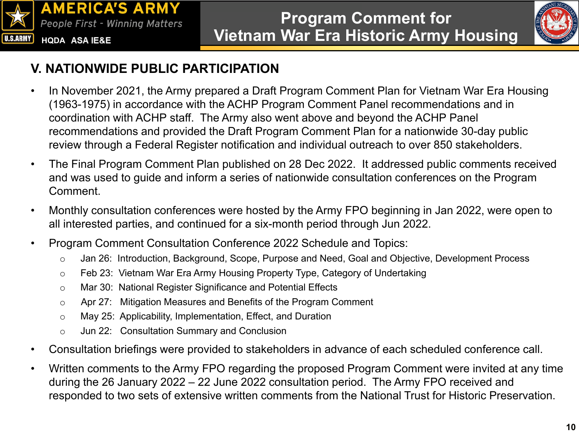



### **V. NATIONWIDE PUBLIC PARTICIPATION**

- In November 2021, the Army prepared a Draft Program Comment Plan for Vietnam War Era Housing (1963-1975) in accordance with the ACHP Program Comment Panel recommendations and in coordination with ACHP staff. The Army also went above and beyond the ACHP Panel recommendations and provided the Draft Program Comment Plan for a nationwide 30-day public review through a Federal Register notification and individual outreach to over 850 stakeholders.
- The Final Program Comment Plan published on 28 Dec 2022. It addressed public comments received and was used to guide and inform a series of nationwide consultation conferences on the Program Comment.
- Monthly consultation conferences were hosted by the Army FPO beginning in Jan 2022, were open to all interested parties, and continued for a six-month period through Jun 2022.
- Program Comment Consultation Conference 2022 Schedule and Topics:
	- o Jan 26: Introduction, Background, Scope, Purpose and Need, Goal and Objective, Development Process
	- o Feb 23: Vietnam War Era Army Housing Property Type, Category of Undertaking
	- o Mar 30: National Register Significance and Potential Effects
	- o Apr 27: Mitigation Measures and Benefits of the Program Comment
	- o May 25: Applicability, Implementation, Effect, and Duration
	- o Jun 22: Consultation Summary and Conclusion
- Consultation briefings were provided to stakeholders in advance of each scheduled conference call.
- Written comments to the Army FPO regarding the proposed Program Comment were invited at any time during the 26 January 2022 – 22 June 2022 consultation period. The Army FPO received and responded to two sets of extensive written comments from the National Trust for Historic Preservation.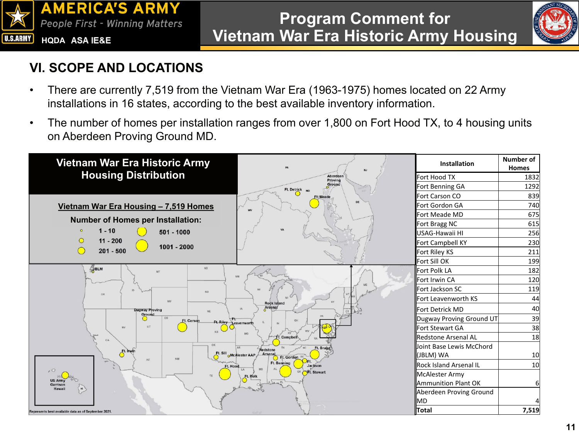



### **VI. SCOPE AND LOCATIONS**

- There are currently 7,519 from the Vietnam War Era (1963-1975) homes located on 22 Army installations in 16 states, according to the best available inventory information.
- The number of homes per installation ranges from over 1,800 on Fort Hood TX, to 4 housing units on Aberdeen Proving Ground MD.

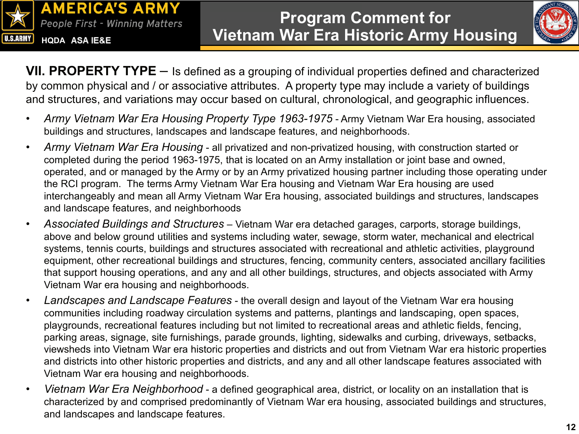



**VII. PROPERTY TYPE** – Is defined as a grouping of individual properties defined and characterized by common physical and / or associative attributes. A property type may include a variety of buildings and structures, and variations may occur based on cultural, chronological, and geographic influences.

- Army Vietnam War Era Housing Property Type 1963-1975 Army Vietnam War Era housing, associated buildings and structures, landscapes and landscape features, and neighborhoods.
- *Army Vietnam War Era Housing*  all privatized and non-privatized housing, with construction started or completed during the period 1963-1975, that is located on an Army installation or joint base and owned, operated, and or managed by the Army or by an Army privatized housing partner including those operating under the RCI program. The terms Army Vietnam War Era housing and Vietnam War Era housing are used interchangeably and mean all Army Vietnam War Era housing, associated buildings and structures, landscapes and landscape features, and neighborhoods
- *Associated Buildings and Structures*  Vietnam War era detached garages, carports, storage buildings, above and below ground utilities and systems including water, sewage, storm water, mechanical and electrical systems, tennis courts, buildings and structures associated with recreational and athletic activities, playground equipment, other recreational buildings and structures, fencing, community centers, associated ancillary facilities that support housing operations, and any and all other buildings, structures, and objects associated with Army Vietnam War era housing and neighborhoods.
- *Landscapes and Landscape Features*  the overall design and layout of the Vietnam War era housing communities including roadway circulation systems and patterns, plantings and landscaping, open spaces, playgrounds, recreational features including but not limited to recreational areas and athletic fields, fencing, parking areas, signage, site furnishings, parade grounds, lighting, sidewalks and curbing, driveways, setbacks, viewsheds into Vietnam War era historic properties and districts and out from Vietnam War era historic properties and districts into other historic properties and districts, and any and all other landscape features associated with Vietnam War era housing and neighborhoods.
- *Vietnam War Era Neighborhood*  a defined geographical area, district, or locality on an installation that is characterized by and comprised predominantly of Vietnam War era housing, associated buildings and structures, and landscapes and landscape features.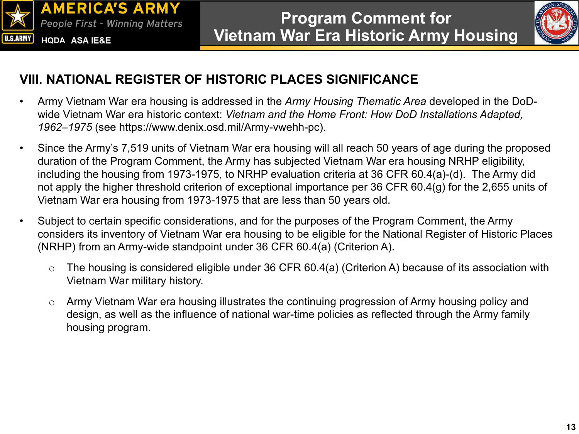



#### **VIII. NATIONAL REGISTER OF HISTORIC PLACES SIGNIFICANCE**

- Army Vietnam War era housing is addressed in the *Army Housing Thematic Area* developed in the DoDwide Vietnam War era historic context: *Vietnam and the Home Front: How DoD Installations Adapted, 1962–1975* (see https://www.denix.osd.mil/Army-vwehh-pc).
- Since the Army's 7,519 units of Vietnam War era housing will all reach 50 years of age during the proposed duration of the Program Comment, the Army has subjected Vietnam War era housing NRHP eligibility, including the housing from 1973-1975, to NRHP evaluation criteria at 36 CFR 60.4(a)-(d). The Army did not apply the higher threshold criterion of exceptional importance per 36 CFR 60.4(g) for the 2,655 units of Vietnam War era housing from 1973-1975 that are less than 50 years old.
- Subject to certain specific considerations, and for the purposes of the Program Comment, the Army considers its inventory of Vietnam War era housing to be eligible for the National Register of Historic Places (NRHP) from an Army-wide standpoint under 36 CFR 60.4(a) (Criterion A).
	- $\circ$  The housing is considered eligible under 36 CFR 60.4(a) (Criterion A) because of its association with Vietnam War military history.
	- o Army Vietnam War era housing illustrates the continuing progression of Army housing policy and design, as well as the influence of national war-time policies as reflected through the Army family housing program.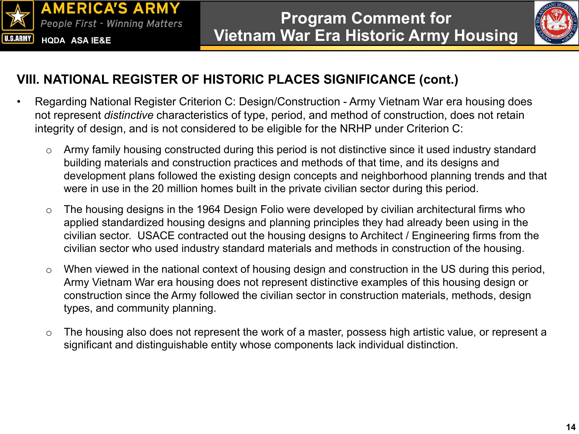



#### **VIII. NATIONAL REGISTER OF HISTORIC PLACES SIGNIFICANCE (cont.)**

- Regarding National Register Criterion C: Design/Construction Army Vietnam War era housing does not represent *distinctive* characteristics of type, period, and method of construction, does not retain integrity of design, and is not considered to be eligible for the NRHP under Criterion C:
	- o Army family housing constructed during this period is not distinctive since it used industry standard building materials and construction practices and methods of that time, and its designs and development plans followed the existing design concepts and neighborhood planning trends and that were in use in the 20 million homes built in the private civilian sector during this period.
	- $\circ$  The housing designs in the 1964 Design Folio were developed by civilian architectural firms who applied standardized housing designs and planning principles they had already been using in the civilian sector. USACE contracted out the housing designs to Architect / Engineering firms from the civilian sector who used industry standard materials and methods in construction of the housing.
	- o When viewed in the national context of housing design and construction in the US during this period, Army Vietnam War era housing does not represent distinctive examples of this housing design or construction since the Army followed the civilian sector in construction materials, methods, design types, and community planning.
	- o The housing also does not represent the work of a master, possess high artistic value, or represent a significant and distinguishable entity whose components lack individual distinction.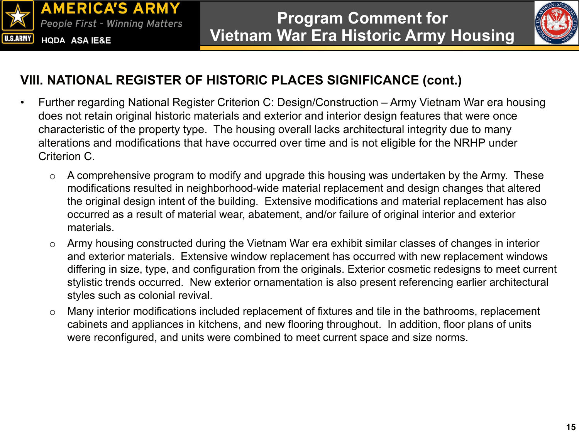



#### **VIII. NATIONAL REGISTER OF HISTORIC PLACES SIGNIFICANCE (cont.)**

- Further regarding National Register Criterion C: Design/Construction Army Vietnam War era housing does not retain original historic materials and exterior and interior design features that were once characteristic of the property type. The housing overall lacks architectural integrity due to many alterations and modifications that have occurred over time and is not eligible for the NRHP under Criterion C.
	- $\circ$  A comprehensive program to modify and upgrade this housing was undertaken by the Army. These modifications resulted in neighborhood-wide material replacement and design changes that altered the original design intent of the building. Extensive modifications and material replacement has also occurred as a result of material wear, abatement, and/or failure of original interior and exterior materials.
	- o Army housing constructed during the Vietnam War era exhibit similar classes of changes in interior and exterior materials. Extensive window replacement has occurred with new replacement windows differing in size, type, and configuration from the originals. Exterior cosmetic redesigns to meet current stylistic trends occurred. New exterior ornamentation is also present referencing earlier architectural styles such as colonial revival.
	- o Many interior modifications included replacement of fixtures and tile in the bathrooms, replacement cabinets and appliances in kitchens, and new flooring throughout. In addition, floor plans of units were reconfigured, and units were combined to meet current space and size norms.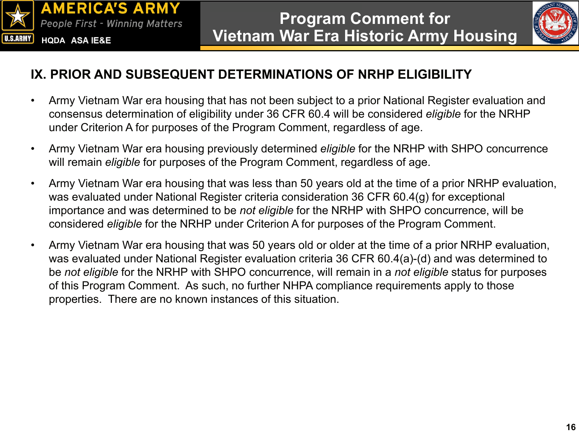



#### **IX. PRIOR AND SUBSEQUENT DETERMINATIONS OF NRHP ELIGIBILITY**

- Army Vietnam War era housing that has not been subject to a prior National Register evaluation and consensus determination of eligibility under 36 CFR 60.4 will be considered *eligible* for the NRHP under Criterion A for purposes of the Program Comment, regardless of age.
- Army Vietnam War era housing previously determined *eligible* for the NRHP with SHPO concurrence will remain *eligible* for purposes of the Program Comment, regardless of age.
- Army Vietnam War era housing that was less than 50 years old at the time of a prior NRHP evaluation, was evaluated under National Register criteria consideration 36 CFR 60.4(g) for exceptional importance and was determined to be *not eligible* for the NRHP with SHPO concurrence, will be considered *eligible* for the NRHP under Criterion A for purposes of the Program Comment.
- Army Vietnam War era housing that was 50 years old or older at the time of a prior NRHP evaluation, was evaluated under National Register evaluation criteria 36 CFR 60.4(a)-(d) and was determined to be *not eligible* for the NRHP with SHPO concurrence, will remain in a *not eligible* status for purposes of this Program Comment. As such, no further NHPA compliance requirements apply to those properties. There are no known instances of this situation.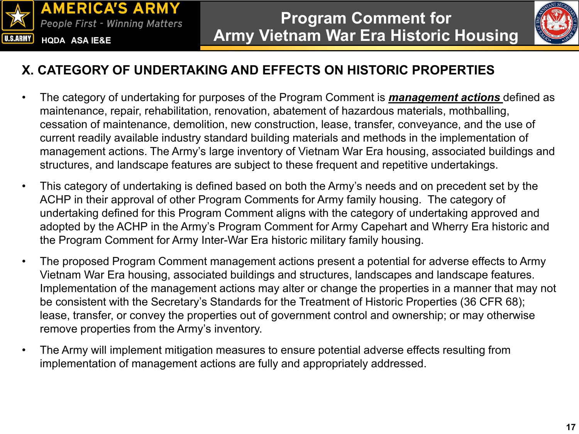



#### **X. CATEGORY OF UNDERTAKING AND EFFECTS ON HISTORIC PROPERTIES**

- The category of undertaking for purposes of the Program Comment is *management actions* defined as maintenance, repair, rehabilitation, renovation, abatement of hazardous materials, mothballing, cessation of maintenance, demolition, new construction, lease, transfer, conveyance, and the use of current readily available industry standard building materials and methods in the implementation of management actions. The Army's large inventory of Vietnam War Era housing, associated buildings and structures, and landscape features are subject to these frequent and repetitive undertakings.
- This category of undertaking is defined based on both the Army's needs and on precedent set by the ACHP in their approval of other Program Comments for Army family housing. The category of undertaking defined for this Program Comment aligns with the category of undertaking approved and adopted by the ACHP in the Army's Program Comment for Army Capehart and Wherry Era historic and the Program Comment for Army Inter-War Era historic military family housing.
- The proposed Program Comment management actions present a potential for adverse effects to Army Vietnam War Era housing, associated buildings and structures, landscapes and landscape features. Implementation of the management actions may alter or change the properties in a manner that may not be consistent with the Secretary's Standards for the Treatment of Historic Properties (36 CFR 68); lease, transfer, or convey the properties out of government control and ownership; or may otherwise remove properties from the Army's inventory.
- The Army will implement mitigation measures to ensure potential adverse effects resulting from implementation of management actions are fully and appropriately addressed.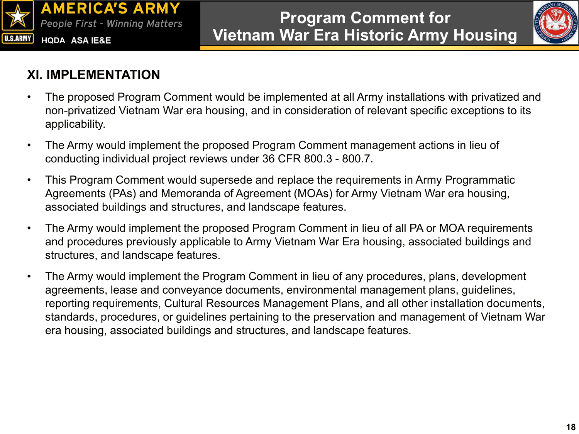



#### **XI. IMPLEMENTATION**

- The proposed Program Comment would be implemented at all Army installations with privatized and non-privatized Vietnam War era housing, and in consideration of relevant specific exceptions to its applicability.
- The Army would implement the proposed Program Comment management actions in lieu of conducting individual project reviews under 36 CFR 800.3 - 800.7.
- This Program Comment would supersede and replace the requirements in Army Programmatic Agreements (PAs) and Memoranda of Agreement (MOAs) for Army Vietnam War era housing, associated buildings and structures, and landscape features.
- The Army would implement the proposed Program Comment in lieu of all PA or MOA requirements and procedures previously applicable to Army Vietnam War Era housing, associated buildings and structures, and landscape features.
- The Army would implement the Program Comment in lieu of any procedures, plans, development agreements, lease and conveyance documents, environmental management plans, guidelines, reporting requirements, Cultural Resources Management Plans, and all other installation documents, standards, procedures, or guidelines pertaining to the preservation and management of Vietnam War era housing, associated buildings and structures, and landscape features.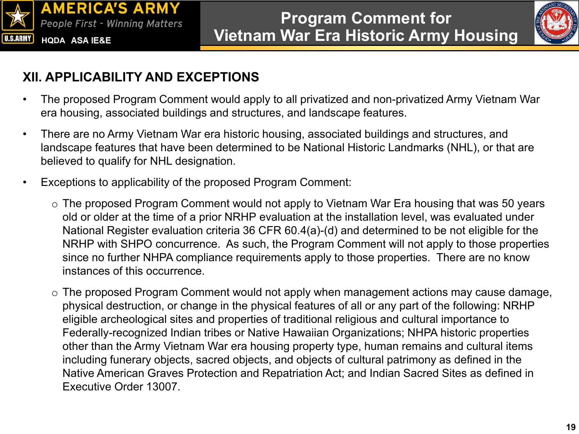



### **XII. APPLICABILITY AND EXCEPTIONS**

- The proposed Program Comment would apply to all privatized and non-privatized Army Vietnam War era housing, associated buildings and structures, and landscape features.
- There are no Army Vietnam War era historic housing, associated buildings and structures, and landscape features that have been determined to be National Historic Landmarks (NHL), or that are believed to qualify for NHL designation.
- Exceptions to applicability of the proposed Program Comment:
	- o The proposed Program Comment would not apply to Vietnam War Era housing that was 50 years old or older at the time of a prior NRHP evaluation at the installation level, was evaluated under National Register evaluation criteria 36 CFR 60.4(a)-(d) and determined to be not eligible for the NRHP with SHPO concurrence. As such, the Program Comment will not apply to those properties since no further NHPA compliance requirements apply to those properties. There are no know instances of this occurrence.
	- o The proposed Program Comment would not apply when management actions may cause damage, physical destruction, or change in the physical features of all or any part of the following: NRHP eligible archeological sites and properties of traditional religious and cultural importance to Federally-recognized Indian tribes or Native Hawaiian Organizations; NHPA historic properties other than the Army Vietnam War era housing property type, human remains and cultural items including funerary objects, sacred objects, and objects of cultural patrimony as defined in the Native American Graves Protection and Repatriation Act; and Indian Sacred Sites as defined in Executive Order 13007.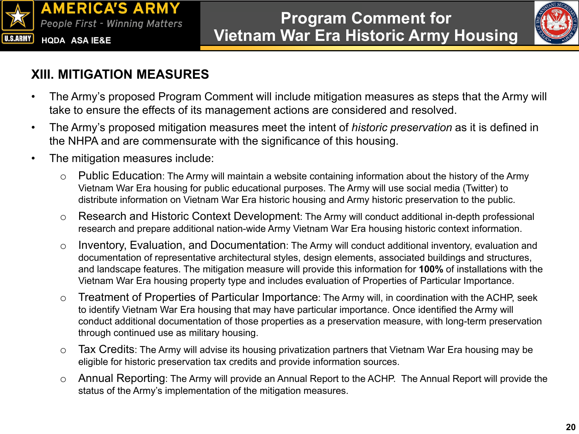



### **XIII. MITIGATION MEASURES**

- The Army's proposed Program Comment will include mitigation measures as steps that the Army will take to ensure the effects of its management actions are considered and resolved.
- The Army's proposed mitigation measures meet the intent of *historic preservation* as it is defined in the NHPA and are commensurate with the significance of this housing.
- The mitigation measures include:
	- o Public Education: The Army will maintain a website containing information about the history of the Army Vietnam War Era housing for public educational purposes. The Army will use social media (Twitter) to distribute information on Vietnam War Era historic housing and Army historic preservation to the public.
	- o Research and Historic Context Development: The Army will conduct additional in-depth professional research and prepare additional nation-wide Army Vietnam War Era housing historic context information.
	- o Inventory, Evaluation, and Documentation: The Army will conduct additional inventory, evaluation and documentation of representative architectural styles, design elements, associated buildings and structures, and landscape features. The mitigation measure will provide this information for **100%** of installations with the Vietnam War Era housing property type and includes evaluation of Properties of Particular Importance.
	- o Treatment of Properties of Particular Importance: The Army will, in coordination with the ACHP, seek to identify Vietnam War Era housing that may have particular importance. Once identified the Army will conduct additional documentation of those properties as a preservation measure, with long-term preservation through continued use as military housing.
	- o Tax Credits: The Army will advise its housing privatization partners that Vietnam War Era housing may be eligible for historic preservation tax credits and provide information sources.
	- o Annual Reporting: The Army will provide an Annual Report to the ACHP. The Annual Report will provide the status of the Army's implementation of the mitigation measures.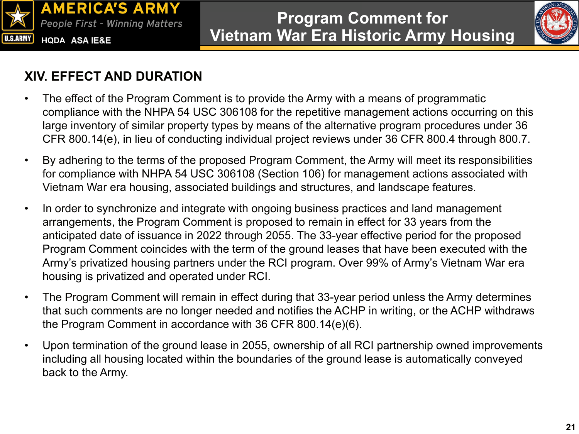



#### **XIV. EFFECT AND DURATION**

- The effect of the Program Comment is to provide the Army with a means of programmatic compliance with the NHPA 54 USC 306108 for the repetitive management actions occurring on this large inventory of similar property types by means of the alternative program procedures under 36 CFR 800.14(e), in lieu of conducting individual project reviews under 36 CFR 800.4 through 800.7.
- By adhering to the terms of the proposed Program Comment, the Army will meet its responsibilities for compliance with NHPA 54 USC 306108 (Section 106) for management actions associated with Vietnam War era housing, associated buildings and structures, and landscape features.
- In order to synchronize and integrate with ongoing business practices and land management arrangements, the Program Comment is proposed to remain in effect for 33 years from the anticipated date of issuance in 2022 through 2055. The 33-year effective period for the proposed Program Comment coincides with the term of the ground leases that have been executed with the Army's privatized housing partners under the RCI program. Over 99% of Army's Vietnam War era housing is privatized and operated under RCI.
- The Program Comment will remain in effect during that 33-year period unless the Army determines that such comments are no longer needed and notifies the ACHP in writing, or the ACHP withdraws the Program Comment in accordance with 36 CFR 800.14(e)(6).
- Upon termination of the ground lease in 2055, ownership of all RCI partnership owned improvements including all housing located within the boundaries of the ground lease is automatically conveyed back to the Army.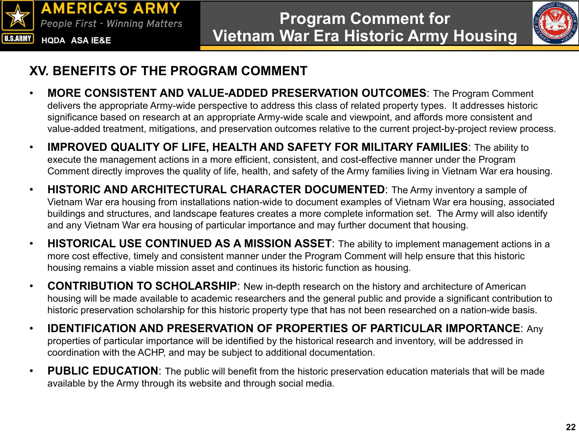



#### **XV. BENEFITS OF THE PROGRAM COMMENT**

- **MORE CONSISTENT AND VALUE-ADDED PRESERVATION OUTCOMES**: The Program Comment delivers the appropriate Army-wide perspective to address this class of related property types. It addresses historic significance based on research at an appropriate Army-wide scale and viewpoint, and affords more consistent and value-added treatment, mitigations, and preservation outcomes relative to the current project-by-project review process.
- **IMPROVED QUALITY OF LIFE, HEALTH AND SAFETY FOR MILITARY FAMILIES**: The ability to execute the management actions in a more efficient, consistent, and cost-effective manner under the Program Comment directly improves the quality of life, health, and safety of the Army families living in Vietnam War era housing.
- **HISTORIC AND ARCHITECTURAL CHARACTER DOCUMENTED**: The Army inventory a sample of Vietnam War era housing from installations nation-wide to document examples of Vietnam War era housing, associated buildings and structures, and landscape features creates a more complete information set. The Army will also identify and any Vietnam War era housing of particular importance and may further document that housing.
- **HISTORICAL USE CONTINUED AS A MISSION ASSET**: The ability to implement management actions in a more cost effective, timely and consistent manner under the Program Comment will help ensure that this historic housing remains a viable mission asset and continues its historic function as housing.
- **CONTRIBUTION TO SCHOLARSHIP**: New in-depth research on the history and architecture of American housing will be made available to academic researchers and the general public and provide a significant contribution to historic preservation scholarship for this historic property type that has not been researched on a nation-wide basis.
- **IDENTIFICATION AND PRESERVATION OF PROPERTIES OF PARTICULAR IMPORTANCE**: Any properties of particular importance will be identified by the historical research and inventory, will be addressed in coordination with the ACHP, and may be subject to additional documentation.
- **PUBLIC EDUCATION**: The public will benefit from the historic preservation education materials that will be made available by the Army through its website and through social media.